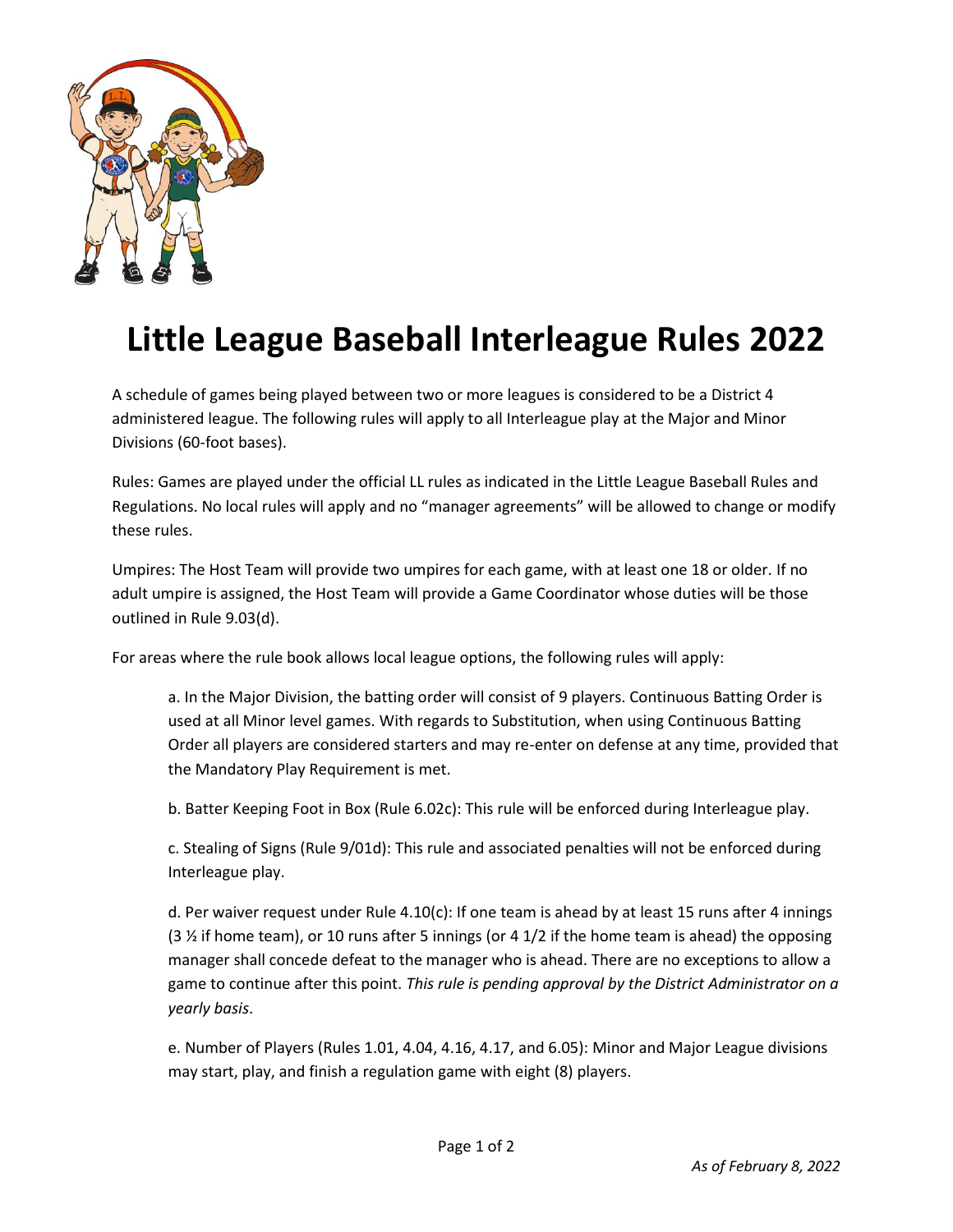

## **Little League Baseball Interleague Rules 2022**

A schedule of games being played between two or more leagues is considered to be a District 4 administered league. The following rules will apply to all Interleague play at the Major and Minor Divisions (60-foot bases).

Rules: Games are played under the official LL rules as indicated in the Little League Baseball Rules and Regulations. No local rules will apply and no "manager agreements" will be allowed to change or modify these rules.

Umpires: The Host Team will provide two umpires for each game, with at least one 18 or older. If no adult umpire is assigned, the Host Team will provide a Game Coordinator whose duties will be those outlined in Rule 9.03(d).

For areas where the rule book allows local league options, the following rules will apply:

a. In the Major Division, the batting order will consist of 9 players. Continuous Batting Order is used at all Minor level games. With regards to Substitution, when using Continuous Batting Order all players are considered starters and may re-enter on defense at any time, provided that the Mandatory Play Requirement is met.

b. Batter Keeping Foot in Box (Rule 6.02c): This rule will be enforced during Interleague play.

c. Stealing of Signs (Rule 9/01d): This rule and associated penalties will not be enforced during Interleague play.

d. Per waiver request under Rule  $4.10(c)$ : If one team is ahead by at least 15 runs after 4 innings  $(3\frac{1}{2})$  if home team), or 10 runs after 5 innings (or 4 1/2 if the home team is ahead) the opposing manager shall concede defeat to the manager who is ahead. There are no exceptions to allow a game to continue after this point. *This rule is pending approval by the District Administrator on a yearly basis*.

e. Number of Players (Rules 1.01, 4.04, 4.16, 4.17, and 6.05): Minor and Major League divisions may start, play, and finish a regulation game with eight (8) players.